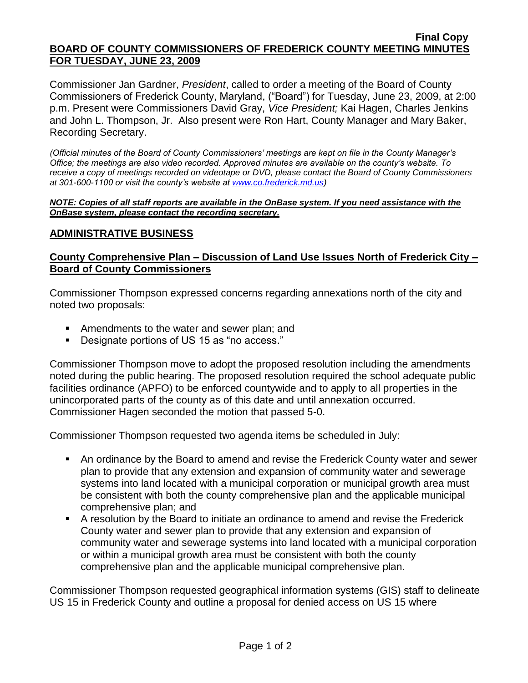#### **Final Copy BOARD OF COUNTY COMMISSIONERS OF FREDERICK COUNTY MEETING MINUTES FOR TUESDAY, JUNE 23, 2009**

Commissioner Jan Gardner, *President*, called to order a meeting of the Board of County Commissioners of Frederick County, Maryland, ("Board") for Tuesday, June 23, 2009, at 2:00 p.m. Present were Commissioners David Gray, *Vice President;* Kai Hagen, Charles Jenkins and John L. Thompson, Jr. Also present were Ron Hart, County Manager and Mary Baker, Recording Secretary.

*(Official minutes of the Board of County Commissioners' meetings are kept on file in the County Manager's Office; the meetings are also video recorded. Approved minutes are available on the county's website. To receive a copy of meetings recorded on videotape or DVD, please contact the Board of County Commissioners at 301-600-1100 or visit the county's website at [www.co.frederick.md.us\)](http://www.co.frederick.md.us/)*

*NOTE: Copies of all staff reports are available in the OnBase system. If you need assistance with the OnBase system, please contact the recording secretary.*

## **ADMINISTRATIVE BUSINESS**

# **County Comprehensive Plan – Discussion of Land Use Issues North of Frederick City – Board of County Commissioners**

Commissioner Thompson expressed concerns regarding annexations north of the city and noted two proposals:

- **EXECUTE:** Amendments to the water and sewer plan; and
- Designate portions of US 15 as "no access."

Commissioner Thompson move to adopt the proposed resolution including the amendments noted during the public hearing. The proposed resolution required the school adequate public facilities ordinance (APFO) to be enforced countywide and to apply to all properties in the unincorporated parts of the county as of this date and until annexation occurred. Commissioner Hagen seconded the motion that passed 5-0.

Commissioner Thompson requested two agenda items be scheduled in July:

- An ordinance by the Board to amend and revise the Frederick County water and sewer plan to provide that any extension and expansion of community water and sewerage systems into land located with a municipal corporation or municipal growth area must be consistent with both the county comprehensive plan and the applicable municipal comprehensive plan; and
- A resolution by the Board to initiate an ordinance to amend and revise the Frederick County water and sewer plan to provide that any extension and expansion of community water and sewerage systems into land located with a municipal corporation or within a municipal growth area must be consistent with both the county comprehensive plan and the applicable municipal comprehensive plan.

Commissioner Thompson requested geographical information systems (GIS) staff to delineate US 15 in Frederick County and outline a proposal for denied access on US 15 where